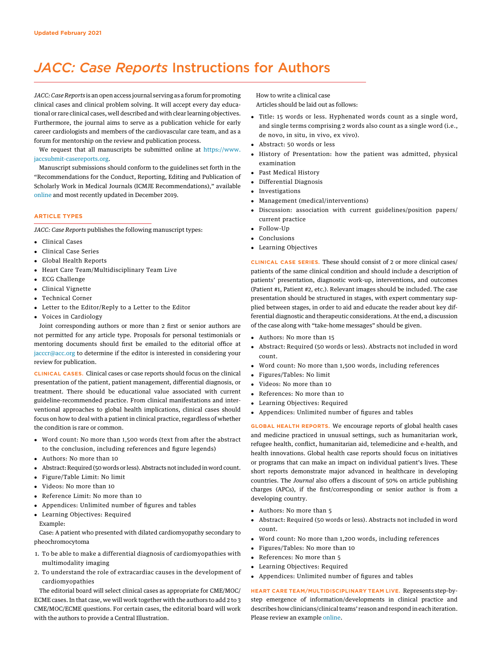# JACC: Case Reports Instructions for Authors

JACC: Case Reports is an open access journal serving as a forum for promoting clinical cases and clinical problem solving. It will accept every day educational or rare clinical cases, well described and with clear learning objectives. Furthermore, the journal aims to serve as a publication vehicle for early career cardiologists and members of the cardiovascular care team, and as a forum for mentorship on the review and publication process.

We request that all manuscripts be submitted online at https://www. jaccsubmit-casereports.org.

Manuscript submissions should conform to the guidelines set forth in the "Recommendations for the Conduct, Reporting, Editing and Publication of Scholarly Work in Medical Journals (ICMJE Recommendations)," available online and most recently updated in December 2019.

# ARTICLE TYPES

JACC: Case Reports publishes the following manuscript types:

- Clinical Cases
- Clinical Case Series
- Global Health Reports
- Heart Care Team/Multidisciplinary Team Live
- ECG Challenge
- Clinical Vignette
- Technical Corner
- Letter to the Editor/Reply to a Letter to the Editor
- Voices in Cardiology

Joint corresponding authors or more than 2 first or senior authors are not permitted for any article type. Proposals for personal testimonials or mentoring documents should first be emailed to the editorial office at jacccr@acc.org to determine if the editor is interested in considering your review for publication.

CLINICAL CASES. Clinical cases or case reports should focus on the clinical presentation of the patient, patient management, differential diagnosis, or treatment. There should be educational value associated with current guideline-recommended practice. From clinical manifestations and interventional approaches to global health implications, clinical cases should focus on how to deal with a patient in clinical practice, regardless of whether the condition is rare or common.

- Word count: No more than 1,500 words (text from after the abstract to the conclusion, including references and figure legends)
- Authors: No more than 10
- Abstract: Required (50 words or less). Abstracts not included in word count.
- Figure/Table Limit: No limit
- Videos: No more than 10
- Reference Limit: No more than 10
- Appendices: Unlimited number of figures and tables
- Learning Objectives: Required
- Example:

Case: A patient who presented with dilated cardiomyopathy secondary to pheochromocytoma

- 1. To be able to make a differential diagnosis of cardiomyopathies with multimodality imaging
- 2. To understand the role of extracardiac causes in the development of cardiomyopathies

The editorial board will select clinical cases as appropriate for CME/MOC/ ECME cases. In that case, we will work together with the authors to add 2 to 3 CME/MOC/ECME questions. For certain cases, the editorial board will work with the authors to provide a Central Illustration.

How to write a clinical case Articles should be laid out as follows:

- Title: 15 words or less. Hyphenated words count as a single word, and single terms comprising 2 words also count as a single word (i.e., de novo, in situ, in vivo, ex vivo).
- Abstract: 50 words or less
- History of Presentation: how the patient was admitted, physical examination
- Past Medical History
- Differential Diagnosis
- Investigations
- Management (medical/interventions)
- Discussion: association with current guidelines/position papers/ current practice
- Follow-Up
- Conclusions
- Learning Objectives

CLINICAL CASE SERIES. These should consist of 2 or more clinical cases/ patients of the same clinical condition and should include a description of patients' presentation, diagnostic work-up, interventions, and outcomes (Patient #1, Patient #2, etc.). Relevant images should be included. The case presentation should be structured in stages, with expert commentary supplied between stages, in order to aid and educate the reader about key differential diagnostic and therapeutic considerations. At the end, a discussion of the case along with "take-home messages" should be given.

- Authors: No more than 15
- Abstract: Required (50 words or less). Abstracts not included in word count.
- Word count: No more than 1,500 words, including references
- Figures/Tables: No limit
- Videos: No more than 10
- References: No more than 10
- Learning Objectives: Required
- Appendices: Unlimited number of figures and tables

GLOBAL HEALTH REPORTS. We encourage reports of global health cases and medicine practiced in unusual settings, such as humanitarian work, refugee health, conflict, humanitarian aid, telemedicine and e-health, and health innovations. Global health case reports should focus on initiatives or programs that can make an impact on individual patient's lives. These short reports demonstrate major advanced in healthcare in developing countries. The Journal also offers a discount of 50% on article publishing charges (APCs), if the first/corresponding or senior author is from a developing country.

- Authors: No more than 5
- Abstract: Required (50 words or less). Abstracts not included in word count.
- Word count: No more than 1,200 words, including references
- Figures/Tables: No more than 10
- References: No more than 5
- Learning Objectives: Required
- Appendices: Unlimited number of figures and tables

HEART CARE TEAM/MULTIDISCIPLINARY TEAM LIVE. Represents step-bystep emergence of information/developments in clinical practice and describes how clinicians/clinical teams'reason and respond in each iteration. Please review an example online.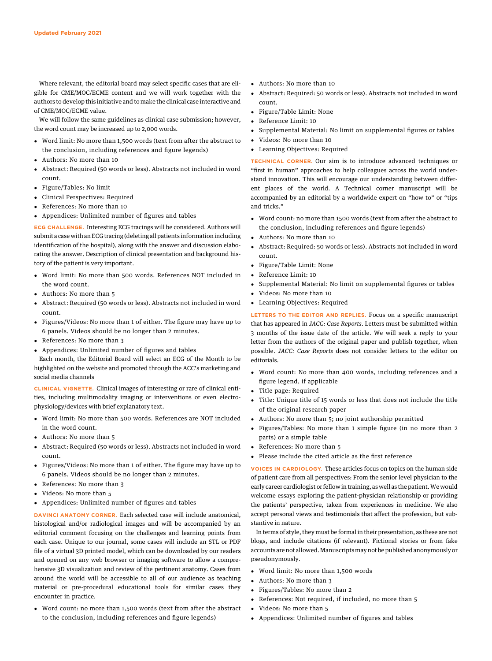Where relevant, the editorial board may select specific cases that are eligible for CME/MOC/ECME content and we will work together with the authors to develop this initiative and to make the clinical case interactive and of CME/MOC/ECME value.

We will follow the same guidelines as clinical case submission; however, the word count may be increased up to 2,000 words.

- Word limit: No more than 1,500 words (text from after the abstract to the conclusion, including references and figure legends)
- Authors: No more than 10
- Abstract: Required (50 words or less). Abstracts not included in word count.
- Figure/Tables: No limit
- Clinical Perspectives: Required
- References: No more than 10
- Appendices: Unlimited number of figures and tables

ECG CHALLENGE. Interesting ECG tracings will be considered. Authors will submit a case with an ECG tracing (deleting all patients information including identification of the hospital), along with the answer and discussion elaborating the answer. Description of clinical presentation and background history of the patient is very important.

- Word limit: No more than 500 words. References NOT included in the word count.
- Authors: No more than 5
- Abstract: Required (50 words or less). Abstracts not included in word count.
- Figures/Videos: No more than 1 of either. The figure may have up to 6 panels. Videos should be no longer than 2 minutes.
- References: No more than 3
- Appendices: Unlimited number of figures and tables

Each month, the Editorial Board will select an ECG of the Month to be highlighted on the website and promoted through the ACC's marketing and social media channels

CLINICAL VIGNETTE. Clinical images of interesting or rare of clinical entities, including multimodality imaging or interventions or even electrophysiology/devices with brief explanatory text.

- Word limit: No more than 500 words. References are NOT included in the word count.
- Authors: No more than 5
- Abstract: Required (50 words or less). Abstracts not included in word count.
- Figures/Videos: No more than 1 of either. The figure may have up to 6 panels. Videos should be no longer than 2 minutes.
- References: No more than 3
- Videos: No more than 5
- Appendices: Unlimited number of figures and tables

DAVINCI ANATOMY CORNER. Each selected case will include anatomical, histological and/or radiological images and will be accompanied by an editorial comment focusing on the challenges and learning points from each case. Unique to our journal, some cases will include an STL or PDF file of a virtual 3D printed model, which can be downloaded by our readers and opened on any web browser or imaging software to allow a comprehensive 3D visualization and review of the pertinent anatomy. Cases from around the world will be accessible to all of our audience as teaching material or pre-procedural educational tools for similar cases they encounter in practice.

 Word count: no more than 1,500 words (text from after the abstract to the conclusion, including references and figure legends)

- Authors: No more than 10
- Abstract: Required: 50 words or less). Abstracts not included in word count.
- Figure/Table Limit: None
- Reference Limit: 10
- Supplemental Material: No limit on supplemental figures or tables
- Videos: No more than 10
- Learning Objectives: Required

TECHNICAL CORNER. Our aim is to introduce advanced techniques or "first in human" approaches to help colleagues across the world understand innovation. This will encourage our understanding between different places of the world. A Technical corner manuscript will be accompanied by an editorial by a worldwide expert on "how to" or "tips and tricks."

- Word count: no more than 1500 words (text from after the abstract to the conclusion, including references and figure legends)
- Authors: No more than 10
- Abstract: Required: 50 words or less). Abstracts not included in word count.
- Figure/Table Limit: None
- Reference Limit: 10
- Supplemental Material: No limit on supplemental figures or tables
- Videos: No more than 10
- Learning Objectives: Required

LETTERS TO THE EDITOR AND REPLIES. Focus on a specific manuscript that has appeared in JACC: Case Reports. Letters must be submitted within 3 months of the issue date of the article. We will seek a reply to your letter from the authors of the original paper and publish together, when possible. JACC: Case Reports does not consider letters to the editor on editorials.

- Word count: No more than 400 words, including references and a figure legend, if applicable
- Title page: Required
- Title: Unique title of 15 words or less that does not include the title of the original research paper
- Authors: No more than 5; no joint authorship permitted
- Figures/Tables: No more than 1 simple figure (in no more than 2 parts) or a simple table
- References: No more than 5
- Please include the cited article as the first reference

VOICES IN CARDIOLOGY. These articles focus on topics on the human side of patient care from all perspectives: From the senior level physician to the early career cardiologist or fellow in training, as well as the patient. We would welcome essays exploring the patient-physician relationship or providing the patients' perspective, taken from experiences in medicine. We also accept personal views and testimonials that affect the profession, but substantive in nature.

In terms of style, they must be formal in their presentation, as these are not blogs, and include citations (if relevant). Fictional stories or from fake accounts are not allowed.Manuscriptsmay not be published anonymously or pseudonymously.

- Word limit: No more than 1,500 words
- Authors: No more than 3
- Figures/Tables: No more than 2
- References: Not required, if included, no more than 5
- Videos: No more than 5
- Appendices: Unlimited number of figures and tables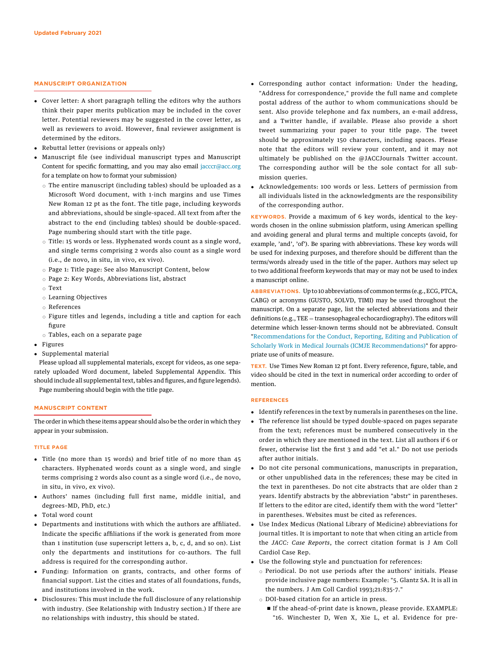## MANUSCRIPT ORGANIZATION

- Cover letter: A short paragraph telling the editors why the authors think their paper merits publication may be included in the cover letter. Potential reviewers may be suggested in the cover letter, as well as reviewers to avoid. However, final reviewer assignment is determined by the editors.
- Rebuttal letter (revisions or appeals only)
- Manuscript file (see individual manuscript types and Manuscript Content for specific formatting, and you may also email jacccr@acc.org for a template on how to format your submission)
	- $\circ$  The entire manuscript (including tables) should be uploaded as a Microsoft Word document, with 1-inch margins and use Times New Roman 12 pt as the font. The title page, including keywords and abbreviations, should be single-spaced. All text from after the abstract to the end (including tables) should be double-spaced. Page numbering should start with the title page.
	- $\circ$  Title: 15 words or less. Hyphenated words count as a single word, and single terms comprising 2 words also count as a single word (i.e., de novo, in situ, in vivo, ex vivo).
	- o Page 1: Title page: See also Manuscript Content, below
	- $\circ$  Page 2: Key Words, Abbreviations list, abstract
	- $\circ$  Text
	- $\circ$  Learning Objectives
	- $\circ$  References
	- $\circ$  Figure titles and legends, including a title and caption for each figure
- $\circ$  Tables, each on a separate page
- Figures
- Supplemental material

Please upload all supplemental materials, except for videos, as one separately uploaded Word document, labeled Supplemental Appendix. This should include all supplemental text, tables and figures, and figure legends). Page numbering should begin with the title page.

#### MANUSCRIPT CONTENT

The order in which these items appear should also be the order in which they appear in your submission.

#### TITLE PAGE

- Title (no more than 15 words) and brief title of no more than 45 characters. Hyphenated words count as a single word, and single terms comprising 2 words also count as a single word (i.e., de novo, in situ, in vivo, ex vivo).
- Authors' names (including full first name, middle initial, and degrees–MD, PhD, etc.)
- Total word count
- Departments and institutions with which the authors are affiliated. Indicate the specific affiliations if the work is generated from more than 1 institution (use superscript letters a, b, c, d, and so on). List only the departments and institutions for co-authors. The full address is required for the corresponding author.
- Funding: Information on grants, contracts, and other forms of financial support. List the cities and states of all foundations, funds, and institutions involved in the work.
- Disclosures: This must include the full disclosure of any relationship with industry. (See Relationship with Industry section.) If there are no relationships with industry, this should be stated.
- Corresponding author contact information: Under the heading, "Address for correspondence," provide the full name and complete postal address of the author to whom communications should be sent. Also provide telephone and fax numbers, an e-mail address, and a Twitter handle, if available. Please also provide a short tweet summarizing your paper to your title page. The tweet should be approximately 150 characters, including spaces. Please note that the editors will review your content, and it may not ultimately be published on the @JACCJournals Twitter account. The corresponding author will be the sole contact for all submission queries.
- Acknowledgements: 100 words or less. Letters of permission from all individuals listed in the acknowledgments are the responsibility of the corresponding author.

KEYWORDS. Provide a maximum of 6 key words, identical to the keywords chosen in the online submission platform, using American spelling and avoiding general and plural terms and multiple concepts (avoid, for example, 'and', 'of'). Be sparing with abbreviations. These key words will be used for indexing purposes, and therefore should be different than the terms/words already used in the title of the paper. Authors may select up to two additional freeform keywords that may or may not be used to index a manuscript online.

ABBREVIATIONS. Up to 10 abbreviations of common terms (e.g., ECG, PTCA, CABG) or acronyms (GUSTO, SOLVD, TIMI) may be used throughout the manuscript. On a separate page, list the selected abbreviations and their definitions (e.g.,  $TEE = transesophaged velocity$  echocardiography). The editors will determine which lesser-known terms should not be abbreviated. Consult "Recommendations for the Conduct, Reporting, Editing and Publication of Scholarly Work in Medical Journals (ICMJE Recommendations)" for appropriate use of units of measure.

TEXT. Use Times New Roman 12 pt font. Every reference, figure, table, and video should be cited in the text in numerical order according to order of mention.

#### **REFERENCES**

- Identify references in the text by numerals in parentheses on the line.
- The reference list should be typed double-spaced on pages separate from the text; references must be numbered consecutively in the order in which they are mentioned in the text. List all authors if 6 or fewer, otherwise list the first 3 and add "et al." Do not use periods after author initials.
- Do not cite personal communications, manuscripts in preparation, or other unpublished data in the references; these may be cited in the text in parentheses. Do not cite abstracts that are older than 2 years. Identify abstracts by the abbreviation "abstr" in parentheses. If letters to the editor are cited, identify them with the word "letter" in parentheses. Websites must be cited as references.
- Use Index Medicus (National Library of Medicine) abbreviations for journal titles. It is important to note that when citing an article from the JACC: Case Reports, the correct citation format is J Am Coll Cardiol Case Rep.
- Use the following style and punctuation for references:
	- o Periodical. Do not use periods after the authors' initials. Please provide inclusive page numbers: Example: "5. Glantz SA. It is all in the numbers. J Am Coll Cardiol 1993;21:835-7."
	- $\circ$  DOI-based citation for an article in press.
		- n If the ahead-of-print date is known, please provide. EXAMPLE: "16. Winchester D, Wen X, Xie L, et al. Evidence for pre-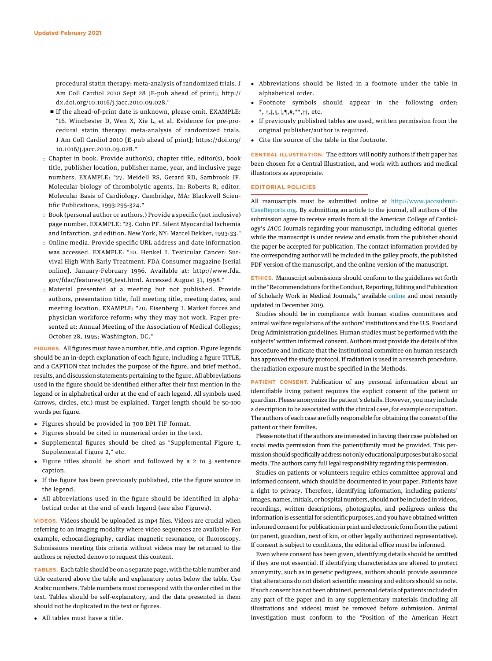procedural statin therapy: meta-analysis of randomized trials. J Am Coll Cardiol 2010 Sept 28 [E-pub ahead of print]; http:// dx.doi.org/10.1016/j.jacc.2010.09.028."

- n If the ahead-of-print date is unknown, please omit. EXAMPLE: "16. Winchester D, Wen X, Xie L, et al. Evidence for pre-procedural statin therapy: meta-analysis of randomized trials. J Am Coll Cardiol 2010 [E-pub ahead of print]; https://doi.org/ 10.1016/j.jacc.2010.09.028."
- $\circ$  Chapter in book. Provide author(s), chapter title, editor(s), book title, publisher location, publisher name, year, and inclusive page numbers. EXAMPLE: "27. Meidell RS, Gerard RD, Sambrook JF. Molecular biology of thrombolytic agents. In: Roberts R, editor. Molecular Basis of Cardiology. Cambridge, MA: Blackwell Scientific Publications, 1993:295-324."
- $\circ$  Book (personal author or authors.) Provide a specific (not inclusive) page number. EXAMPLE: "23. Cohn PF. Silent Myocardial Ischemia and Infarction. 3rd edition. New York, NY: Marcel Dekker, 1993:33."
- $\circ$  Online media. Provide specific URL address and date information was accessed. EXAMPLE: "10. Henkel J. Testicular Cancer: Survival High With Early Treatment. FDA Consumer magazine [serial online]. January-February 1996. Available at: http://www.fda. gov/fdac/features/196\_test.html. Accessed August 31, 1998."
- $\circ$  Material presented at a meeting but not published. Provide authors, presentation title, full meeting title, meeting dates, and meeting location. EXAMPLE: "20. Eisenberg J. Market forces and physician workforce reform: why they may not work. Paper presented at: Annual Meeting of the Association of Medical Colleges; October 28, 1995; Washington, DC."

FIGURES. All figures must have a number, title, and caption. Figure legends should be an in-depth explanation of each figure, including a figure TITLE, and a CAPTION that includes the purpose of the figure, and brief method, results, and discussion statements pertaining to the figure. All abbreviations used in the figure should be identified either after their first mention in the legend or in alphabetical order at the end of each legend. All symbols used (arrows, circles, etc.) must be explained. Target length should be 50-100 words per figure.

- Figures should be provided in 300 DPI TIF format.
- Figures should be cited in numerical order in the text.
- Supplemental figures should be cited as "Supplemental Figure 1, Supplemental Figure 2," etc.
- Figure titles should be short and followed by a 2 to 3 sentence caption.
- If the figure has been previously published, cite the figure source in the legend.
- All abbreviations used in the figure should be identified in alphabetical order at the end of each legend (see also Figures).

VIDEOS. Videos should be uploaded as mp4 files. Videos are crucial when referring to an imaging modality where video sequences are available: For example, echocardiography, cardiac magnetic resonance, or fluoroscopy. Submissions meeting this criteria without videos may be returned to the authors or rejected denovo to request this content.

TABLES. Each table should be on a separate page, with the table number and title centered above the table and explanatory notes below the table. Use Arabic numbers. Table numbers must correspond with the order cited in the text. Tables should be self-explanatory, and the data presented in them should not be duplicated in the text or figures.

All tables must have a title.

- Abbreviations should be listed in a footnote under the table in alphabetical order.
- Footnote symbols should appear in the following order:  $*,$   $\dagger$ , $\ddagger$ , $\S$ , $\|\n$ , $\P$ , $\#$ , $^{**}$ , $\dagger\dagger$ , etc.
- If previously published tables are used, written permission from the original publisher/author is required.
- Cite the source of the table in the footnote.

CENTRAL ILLUSTRATION. The editors will notify authors if their paper has been chosen for a Central Illustration, and work with authors and medical illustrators as appropriate.

#### EDITORIAL POLICIES

All manuscripts must be submitted online at http://www.jaccsubmit-CaseReports.org. By submitting an article to the journal, all authors of the submission agree to receive emails from all the American College of Cardiology's JACC Journals regarding your manuscript, including editorial queries while the manuscript is under review and emails from the publisher should the paper be accepted for publication. The contact information provided by the corresponding author will be included in the galley proofs, the published PDF version of the manuscript, and the online version of the manuscript.

ETHICS. Manuscript submissions should conform to the guidelines set forth in the "Recommendations for the Conduct, Reporting, Editing and Publication of Scholarly Work in Medical Journals," available online and most recently updated in December 2019.

Studies should be in compliance with human studies committees and animal welfare regulations of the authors' institutions and the U.S. Food and Drug Administration guidelines. Human studies must be performed with the subjects' written informed consent. Authors must provide the details of this procedure and indicate that the institutional committee on human research has approved the study protocol. If radiation is used in a research procedure, the radiation exposure must be specified in the Methods.

PATIENT CONSENT. Publication of any personal information about an identifiable living patient requires the explicit consent of the patient or guardian. Please anonymize the patient's details. However, you may include a description to be associated with the clinical case, for example occupation. The authors of each case are fully responsible for obtaining the consent of the patient or their families.

Please note that if the authors are interested in having their case published on social media permission from the patient/family must be provided. This permission should specifically address not only educational purposes but also social media. The authors carry full legal responsibility regarding this permission.

Studies on patients or volunteers require ethics committee approval and informed consent, which should be documented in your paper. Patients have a right to privacy. Therefore, identifying information, including patients' images, names, initials, or hospital numbers, should not be included in videos, recordings, written descriptions, photographs, and pedigrees unless the information is essential for scientific purposes, and you have obtained written informed consent for publication in print and electronic form from the patient (or parent, guardian, next of kin, or other legally authorized representative). If consent is subject to conditions, the editorial office must be informed.

Even where consent has been given, identifying details should be omitted if they are not essential. If identifying characteristics are altered to protect anonymity, such as in genetic pedigrees, authors should provide assurance that alterations do not distort scientific meaning and editors should so note. If such consent has not been obtained, personal details of patients included in any part of the paper and in any supplementary materials (including all illustrations and videos) must be removed before submission. Animal investigation must conform to the "Position of the American Heart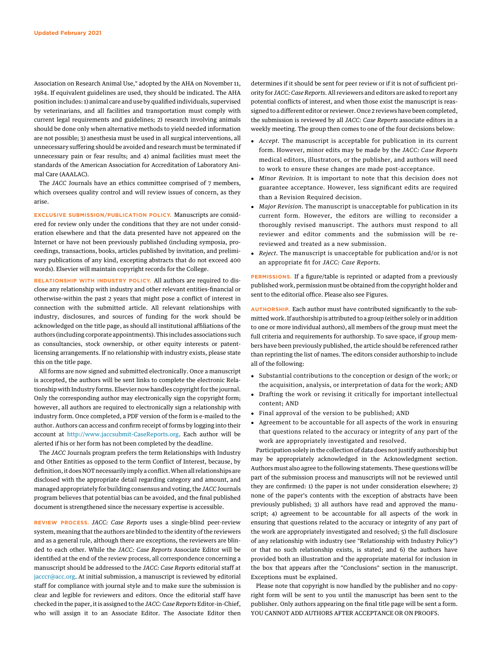Association on Research Animal Use," adopted by the AHA on November 11, 1984. If equivalent guidelines are used, they should be indicated. The AHA position includes: 1) animal care and use by qualified individuals, supervised by veterinarians, and all facilities and transportation must comply with current legal requirements and guidelines; 2) research involving animals should be done only when alternative methods to yield needed information are not possible; 3) anesthesia must be used in all surgical interventions, all unnecessary suffering should be avoided and research must be terminated if unnecessary pain or fear results; and 4) animal facilities must meet the standards of the American Association for Accreditation of Laboratory Animal Care (AAALAC).

The JACC Journals have an ethics committee comprised of 7 members, which oversees quality control and will review issues of concern, as they arise.

EXCLUSIVE SUBMISSION/PUBLICATION POLICY. Manuscripts are considered for review only under the conditions that they are not under consideration elsewhere and that the data presented have not appeared on the Internet or have not been previously published (including symposia, proceedings, transactions, books, articles published by invitation, and preliminary publications of any kind, excepting abstracts that do not exceed 400 words). Elsevier will maintain copyright records for the College.

RELATIONSHIP WITH INDUSTRY POLICY. All authors are required to disclose any relationship with industry and other relevant entities-financial or otherwise-within the past 2 years that might pose a conflict of interest in connection with the submitted article. All relevant relationships with industry, disclosures, and sources of funding for the work should be acknowledged on the title page, as should all institutional affiliations of the authors (including corporate appointments). This includes associations such as consultancies, stock ownership, or other equity interests or patentlicensing arrangements. If no relationship with industry exists, please state this on the title page.

All forms are now signed and submitted electronically. Once a manuscript is accepted, the authors will be sent links to complete the electronic Relationship with Industry forms. Elsevier now handles copyright for the journal. Only the corresponding author may electronically sign the copyright form; however, all authors are required to electronically sign a relationship with industry form. Once completed, a PDF version of the form is e-mailed to the author. Authors can access and confirm receipt of forms by logging into their account at http://www.jaccsubmit-CaseReports.org. Each author will be alerted if his or her form has not been completed by the deadline.

The JACC Journals program prefers the term Relationships with Industry and Other Entities as opposed to the term Conflict of Interest, because, by definition, it does NOT necessarily imply a conflict.When all relationships are disclosed with the appropriate detail regarding category and amount, and managed appropriately for building consensus and voting, the JACCJournals program believes that potential bias can be avoided, and the final published document is strengthened since the necessary expertise is accessible.

REVIEW PROCESS. JACC: Case Reports uses a single-blind peer-review system, meaning that the authors are blinded to the identity of the reviewers and as a general rule, although there are exceptions, the reviewers are blinded to each other. While the JACC: Case Reports Associate Editor will be identified at the end of the review process, all correspondence concerning a manuscript should be addressed to the JACC: Case Reports editorial staff at jacccr@acc.org. At initial submission, a manuscript is reviewed by editorial staff for compliance with journal style and to make sure the submission is clear and legible for reviewers and editors. Once the editorial staff have checked in the paper, it is assigned to the JACC: Case Reports Editor-in-Chief, who will assign it to an Associate Editor. The Associate Editor then

determines if it should be sent for peer review or if it is not of sufficient priority for JACC: Case Reports. All reviewers and editors are asked to report any potential conflicts of interest, and when those exist the manuscript is reassigned to a different editor or reviewer. Once 2 reviews have been completed, the submission is reviewed by all JACC: Case Reports associate editors in a weekly meeting. The group then comes to one of the four decisions below:

- Accept. The manuscript is acceptable for publication in its current form. However, minor edits may be made by the JACC: Case Reports medical editors, illustrators, or the publisher, and authors will need to work to ensure these changes are made post-acceptance.
- Minor Revision. It is important to note that this decision does not guarantee acceptance. However, less significant edits are required than a Revision Required decision.
- Major Revision. The manuscript is unacceptable for publication in its current form. However, the editors are willing to reconsider a thoroughly revised manuscript. The authors must respond to all reviewer and editor comments and the submission will be rereviewed and treated as a new submission.
- Reject. The manuscript is unacceptable for publication and/or is not an appropriate fit for JACC: Case Reports.

PERMISSIONS. If a figure/table is reprinted or adapted from a previously published work, permission must be obtained from the copyright holder and sent to the editorial office. Please also see Figures.

AUTHORSHIP. Each author must have contributed significantly to the submitted work. If authorship is attributed to a group (either solely or in addition to one or more individual authors), all members of the group must meet the full criteria and requirements for authorship. To save space, if group members have been previously published, the article should be referenced rather than reprinting the list of names. The editors consider authorship to include all of the following:

- Substantial contributions to the conception or design of the work; or the acquisition, analysis, or interpretation of data for the work; AND
- Drafting the work or revising it critically for important intellectual content; AND
- Final approval of the version to be published; AND
- Agreement to be accountable for all aspects of the work in ensuring that questions related to the accuracy or integrity of any part of the work are appropriately investigated and resolved.

Participation solely in the collection of data does not justify authorship but may be appropriately acknowledged in the Acknowledgment section. Authors must also agree to the following statements. These questions will be part of the submission process and manuscripts will not be reviewed until they are confirmed: 1) the paper is not under consideration elsewhere; 2) none of the paper's contents with the exception of abstracts have been previously published; 3) all authors have read and approved the manuscript; 4) agreement to be accountable for all aspects of the work in ensuring that questions related to the accuracy or integrity of any part of the work are appropriately investigated and resolved; 5) the full disclosure of any relationship with industry (see "Relationship with Industry Policy") or that no such relationship exists, is stated; and 6) the authors have provided both an illustration and the appropriate material for inclusion in the box that appears after the "Conclusions" section in the manuscript. Exceptions must be explained.

Please note that copyright is now handled by the publisher and no copyright form will be sent to you until the manuscript has been sent to the publisher. Only authors appearing on the final title page will be sent a form. YOU CANNOT ADD AUTHORS AFTER ACCEPTANCE OR ON PROOFS.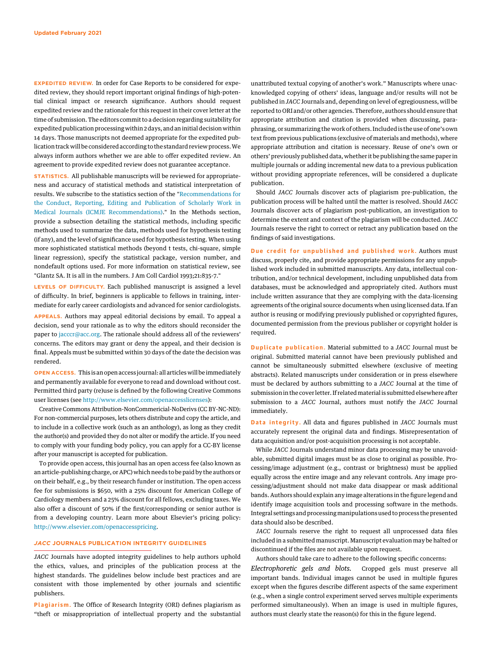EXPEDITED REVIEW. In order for Case Reports to be considered for expedited review, they should report important original findings of high-potential clinical impact or research significance. Authors should request expedited review and the rationale for this request in their cover letter at the time of submission. The editors commit to a decision regarding suitability for expedited publication processingwithin 2 days, and an initial decision within 14 days. Those manuscripts not deemed appropriate for the expedited publication track will be considered according to the standard review process.We always inform authors whether we are able to offer expedited review. An agreement to provide expedited review does not guarantee acceptance.

STATISTICS. All publishable manuscripts will be reviewed for appropriateness and accuracy of statistical methods and statistical interpretation of results. We subscribe to the statistics section of the "Recommendations for the Conduct, Reporting, Editing and Publication of Scholarly Work in Medical Journals (ICMJE Recommendations)." In the Methods section, provide a subsection detailing the statistical methods, including specific methods used to summarize the data, methods used for hypothesis testing (if any), and the level of significance used for hypothesis testing. When using more sophisticated statistical methods (beyond t tests, chi-square, simple linear regression), specify the statistical package, version number, and nondefault options used. For more information on statistical review, see "Glantz SA. It is all in the numbers. J Am Coll Cardiol 1993;21:835-7."

LEVELS OF DIFFICULTY. Each published manuscript is assigned a level of difficulty. In brief, beginners is applicable to fellows in training, intermediate for early career cardiologists and advanced for senior cardiologists.

APPEALS. Authors may appeal editorial decisions by email. To appeal a decision, send your rationale as to why the editors should reconsider the paper to jacccr@acc.org. The rationale should address all of the reviewers' concerns. The editors may grant or deny the appeal, and their decision is final. Appeals must be submitted within 30 days of the date the decision was rendered.

OPEN ACCESS. This is an open accessjournal: all articles will be immediately and permanently available for everyone to read and download without cost. Permitted third party (re)use is defined by the following Creative Commons user licenses (see [http://www.elsevier.com/openaccesslicenses\)](http://www.elsevier.com/openaccesslicenses):

Creative Commons Attribution-NonCommericial-NoDerivs (CC BY-NC-ND): For non-commercial purposes, lets others distribute and copy the article, and to include in a collective work (such as an anthology), as long as they credit the author(s) and provided they do not alter or modify the article. If you need to comply with your funding body policy, you can apply for a CC-BY license after your manuscript is accepted for publication.

To provide open access, this journal has an open access fee (also known as an article-publishing charge, or APC) which needs to be paid by the authors or on their behalf, e.g., by their research funder or institution. The open access fee for submissions is \$650, with a 25% discount for American College of Cardiology members and a 25% discount for all fellows, excluding taxes. We also offer a discount of 50% if the first/corresponding or senior author is from a developing country. Learn more about Elsevier's pricing policy: <http://www.elsevier.com/openaccesspricing>.

## JACC JOURNALS PUBLICATION INTEGRITY GUIDELINES

JACC Journals have adopted integrity guidelines to help authors uphold the ethics, values, and principles of the publication process at the highest standards. The guidelines below include best practices and are consistent with those implemented by other journals and scientific publishers.

Plagiarism. The Office of Research Integrity (ORI) defines plagiarism as "theft or misappropriation of intellectual property and the substantial

unattributed textual copying of another's work." Manuscripts where unacknowledged copying of others' ideas, language and/or results will not be published in JACC Journals and, depending on level of egregiousness, will be reported to ORI and/or other agencies. Therefore, authors should ensure that appropriate attribution and citation is provided when discussing, paraphrasing, or summarizing the work of others. Included is the use of one's own text from previous publications (exclusive of materials and methods), where appropriate attribution and citation is necessary. Reuse of one's own or others'previously published data, whether it be publishing the same paper in multiple journals or adding incremental new data to a previous publication without providing appropriate references, will be considered a duplicate publication.

Should JACC Journals discover acts of plagiarism pre-publication, the publication process will be halted until the matter is resolved. Should JACC Journals discover acts of plagiarism post-publication, an investigation to determine the extent and context of the plagiarism will be conducted. JACC Journals reserve the right to correct or retract any publication based on the findings of said investigations.

Due credit for unpublished and published work. Authors must discuss, properly cite, and provide appropriate permissions for any unpublished work included in submitted manuscripts. Any data, intellectual contribution, and/or technical development, including unpublished data from databases, must be acknowledged and appropriately cited. Authors must include written assurance that they are complying with the data-licensing agreements of the original source documents when using licensed data. If an author is reusing or modifying previously published or copyrighted figures, documented permission from the previous publisher or copyright holder is required.

Duplicate publication. Material submitted to a JACC Journal must be original. Submitted material cannot have been previously published and cannot be simultaneously submitted elsewhere (exclusive of meeting abstracts). Related manuscripts under consideration or in press elsewhere must be declared by authors submitting to a JACC Journal at the time of submission in the cover letter. If related material is submitted elsewhere after submission to a JACC Journal, authors must notify the JACC Journal immediately.

Data integrity. All data and figures published in JACC Journals must accurately represent the original data and findings. Misrepresentation of data acquisition and/or post-acquisition processing is not acceptable.

While JACC Journals understand minor data processing may be unavoidable, submitted digital images must be as close to original as possible. Processing/image adjustment (e.g., contrast or brightness) must be applied equally across the entire image and any relevant controls. Any image processing/adjustment should not make data disappear or mask additional bands. Authors should explain any image alterations in the figure legend and identify image acquisition tools and processing software in the methods. Integral settings and processingmanipulations used to process the presented data should also be described.

JACC Journals reserve the right to request all unprocessed data files included in a submitted manuscript. Manuscript evaluation may be halted or discontinued if the files are not available upon request.

Authors should take care to adhere to the following specific concerns: Electrophoretic gels and blots. Cropped gels must preserve all important bands. Individual images cannot be used in multiple figures except when the figures describe different aspects of the same experiment (e.g., when a single control experiment served serves multiple experiments performed simultaneously). When an image is used in multiple figures, authors must clearly state the reason(s) for this in the figure legend.